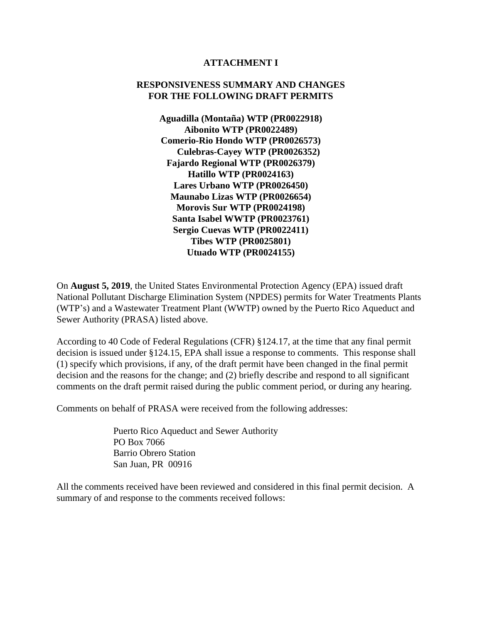#### **ATTACHMENT I**

#### **RESPONSIVENESS SUMMARY AND CHANGES FOR THE FOLLOWING DRAFT PERMITS**

**Aguadilla (Montaña) WTP (PR0022918) Aibonito WTP (PR0022489) Comerio-Rio Hondo WTP (PR0026573) Culebras-Cayey WTP (PR0026352) Fajardo Regional WTP (PR0026379) Hatillo WTP (PR0024163) Lares Urbano WTP (PR0026450) Maunabo Lizas WTP (PR0026654) Morovis Sur WTP (PR0024198) Santa Isabel WWTP (PR0023761) Sergio Cuevas WTP (PR0022411) Tibes WTP (PR0025801) Utuado WTP (PR0024155)**

On **August 5, 2019**, the United States Environmental Protection Agency (EPA) issued draft National Pollutant Discharge Elimination System (NPDES) permits for Water Treatments Plants (WTP's) and a Wastewater Treatment Plant (WWTP) owned by the Puerto Rico Aqueduct and Sewer Authority (PRASA) listed above.

According to 40 Code of Federal Regulations (CFR) §124.17, at the time that any final permit decision is issued under §124.15, EPA shall issue a response to comments. This response shall (1) specify which provisions, if any, of the draft permit have been changed in the final permit decision and the reasons for the change; and (2) briefly describe and respond to all significant comments on the draft permit raised during the public comment period, or during any hearing.

Comments on behalf of PRASA were received from the following addresses:

Puerto Rico Aqueduct and Sewer Authority PO Box 7066 Barrio Obrero Station San Juan, PR 00916

All the comments received have been reviewed and considered in this final permit decision. A summary of and response to the comments received follows: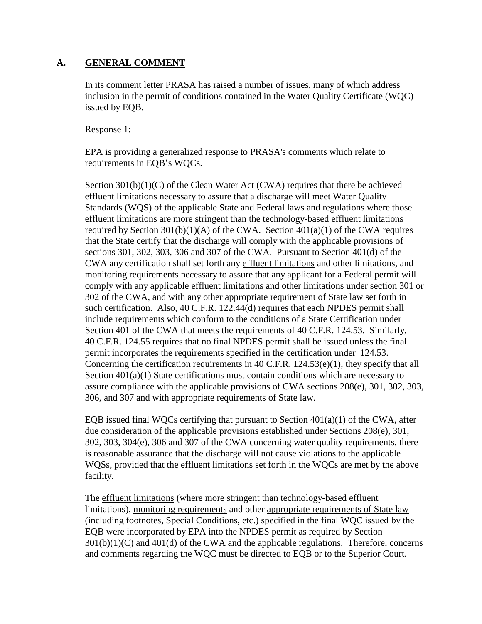#### **A. GENERAL COMMENT**

In its comment letter PRASA has raised a number of issues, many of which address inclusion in the permit of conditions contained in the Water Quality Certificate (WQC) issued by EQB.

#### Response 1:

EPA is providing a generalized response to PRASA's comments which relate to requirements in EQB's WQCs.

Section 301(b)(1)(C) of the Clean Water Act (CWA) requires that there be achieved effluent limitations necessary to assure that a discharge will meet Water Quality Standards (WQS) of the applicable State and Federal laws and regulations where those effluent limitations are more stringent than the technology-based effluent limitations required by Section  $301(b)(1)(A)$  of the CWA. Section  $401(a)(1)$  of the CWA requires that the State certify that the discharge will comply with the applicable provisions of sections 301, 302, 303, 306 and 307 of the CWA. Pursuant to Section 401(d) of the CWA any certification shall set forth any effluent limitations and other limitations, and monitoring requirements necessary to assure that any applicant for a Federal permit will comply with any applicable effluent limitations and other limitations under section 301 or 302 of the CWA, and with any other appropriate requirement of State law set forth in such certification. Also, 40 C.F.R. 122.44(d) requires that each NPDES permit shall include requirements which conform to the conditions of a State Certification under Section 401 of the CWA that meets the requirements of 40 C.F.R. 124.53. Similarly, 40 C.F.R. 124.55 requires that no final NPDES permit shall be issued unless the final permit incorporates the requirements specified in the certification under '124.53. Concerning the certification requirements in 40 C.F.R. 124.53(e)(1), they specify that all Section 401(a)(1) State certifications must contain conditions which are necessary to assure compliance with the applicable provisions of CWA sections 208(e), 301, 302, 303, 306, and 307 and with appropriate requirements of State law.

EQB issued final WQCs certifying that pursuant to Section  $401(a)(1)$  of the CWA, after due consideration of the applicable provisions established under Sections 208(e), 301, 302, 303, 304(e), 306 and 307 of the CWA concerning water quality requirements, there is reasonable assurance that the discharge will not cause violations to the applicable WQSs, provided that the effluent limitations set forth in the WQCs are met by the above facility.

The effluent limitations (where more stringent than technology-based effluent limitations), monitoring requirements and other appropriate requirements of State law (including footnotes, Special Conditions, etc.) specified in the final WQC issued by the EQB were incorporated by EPA into the NPDES permit as required by Section  $301(b)(1)(C)$  and  $401(d)$  of the CWA and the applicable regulations. Therefore, concerns and comments regarding the WQC must be directed to EQB or to the Superior Court.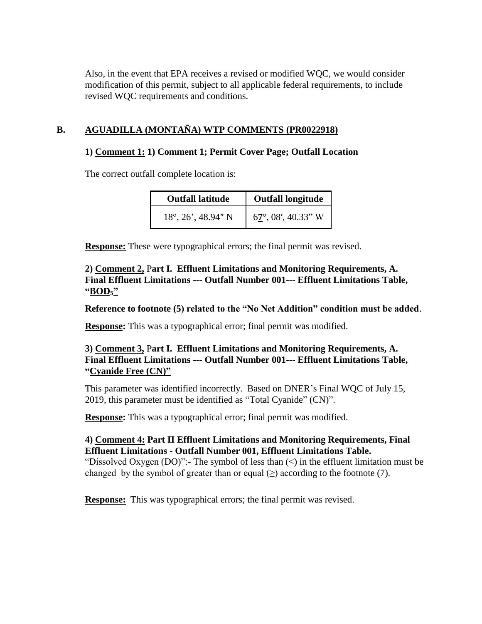Also, in the event that EPA receives a revised or modified WQC, we would consider modification of this permit, subject to all applicable federal requirements, to include revised WQC requirements and conditions.

# **B. AGUADILLA (MONTAÑA) WTP COMMENTS (PR0022918)**

### **1) Comment 1: 1) Comment 1; Permit Cover Page; Outfall Location**

The correct outfall complete location is:

| <b>Outfall latitude</b>          | <b>Outfall longitude</b>               |
|----------------------------------|----------------------------------------|
| $18^\circ$ , $26'$ , $48.94''$ N | $6\frac{7}{1}^{\circ}$ , 08', 40.33" W |

**Response:** These were typographical errors; the final permit was revised.

**2) Comment 2,** P**art I. Effluent Limitations and Monitoring Requirements, A. Final Effluent Limitations --- Outfall Number 001--- Effluent Limitations Table, "BOD5"**

**Reference to footnote (5) related to the "No Net Addition" condition must be added**.

**Response:** This was a typographical error; final permit was modified.

## **3) Comment 3,** P**art I. Effluent Limitations and Monitoring Requirements, A. Final Effluent Limitations --- Outfall Number 001--- Effluent Limitations Table, "Cyanide Free (CN)"**

This parameter was identified incorrectly. Based on DNER's Final WQC of July 15, 2019, this parameter must be identified as "Total Cyanide" (CN)".

**Response:** This was a typographical error; final permit was modified.

### **4) Comment 4: Part II Effluent Limitations and Monitoring Requirements, Final Effluent Limitations - Outfall Number 001, Effluent Limitations Table.**

"Dissolved Oxygen (DO)":- The symbol of less than  $\langle \rangle$  in the effluent limitation must be changed by the symbol of greater than or equal  $(\geq)$  according to the footnote (7).

**Response:** This was typographical errors; the final permit was revised.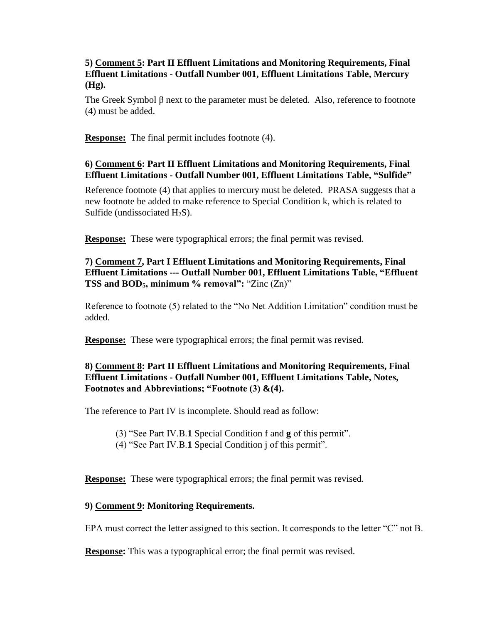### **5) Comment 5: Part II Effluent Limitations and Monitoring Requirements, Final Effluent Limitations - Outfall Number 001, Effluent Limitations Table, Mercury (Hg).**

The Greek Symbol β next to the parameter must be deleted. Also, reference to footnote (4) must be added.

**Response:** The final permit includes footnote (4).

### **6) Comment 6: Part II Effluent Limitations and Monitoring Requirements, Final Effluent Limitations - Outfall Number 001, Effluent Limitations Table, "Sulfide"**

Reference footnote (4) that applies to mercury must be deleted. PRASA suggests that a new footnote be added to make reference to Special Condition k, which is related to Sulfide (undissociated  $H_2S$ ).

**Response:** These were typographical errors; the final permit was revised.

# **7) Comment 7, Part I Effluent Limitations and Monitoring Requirements, Final Effluent Limitations --- Outfall Number 001, Effluent Limitations Table, "Effluent TSS and BOD5, minimum % removal":** "Zinc (Zn)"

Reference to footnote (5) related to the "No Net Addition Limitation" condition must be added.

**Response:** These were typographical errors; the final permit was revised.

# **8) Comment 8: Part II Effluent Limitations and Monitoring Requirements, Final Effluent Limitations - Outfall Number 001, Effluent Limitations Table, Notes, Footnotes and Abbreviations; "Footnote (3) &(4).**

The reference to Part IV is incomplete. Should read as follow:

(3) "See Part IV.B.**1** Special Condition f and **g** of this permit".

(4) "See Part IV.B.**1** Special Condition j of this permit".

**Response:** These were typographical errors; the final permit was revised.

### **9) Comment 9: Monitoring Requirements.**

EPA must correct the letter assigned to this section. It corresponds to the letter "C" not B.

**Response:** This was a typographical error; the final permit was revised.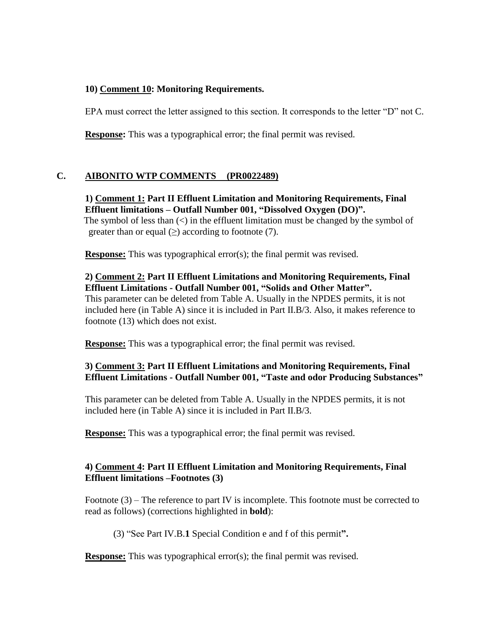### **10) Comment 10: Monitoring Requirements.**

EPA must correct the letter assigned to this section. It corresponds to the letter "D" not C.

**Response:** This was a typographical error; the final permit was revised.

# **C. AIBONITO WTP COMMENTS (PR0022489)**

**1) Comment 1: Part II Effluent Limitation and Monitoring Requirements, Final Effluent limitations – Outfall Number 001, "Dissolved Oxygen (DO)".** The symbol of less than  $\langle \rangle$  in the effluent limitation must be changed by the symbol of greater than or equal  $(\geq)$  according to footnote (7).

**Response:** This was typographical error(s); the final permit was revised.

# **2) Comment 2: Part II Effluent Limitations and Monitoring Requirements, Final Effluent Limitations - Outfall Number 001, "Solids and Other Matter".**

This parameter can be deleted from Table A. Usually in the NPDES permits, it is not included here (in Table A) since it is included in Part II.B/3. Also, it makes reference to footnote (13) which does not exist.

**Response:** This was a typographical error; the final permit was revised.

# **3) Comment 3: Part II Effluent Limitations and Monitoring Requirements, Final Effluent Limitations - Outfall Number 001, "Taste and odor Producing Substances"**

This parameter can be deleted from Table A. Usually in the NPDES permits, it is not included here (in Table A) since it is included in Part II.B/3.

**Response:** This was a typographical error; the final permit was revised.

# **4) Comment 4: Part II Effluent Limitation and Monitoring Requirements, Final Effluent limitations –Footnotes (3)**

 Footnote (3) – The reference to part IV is incomplete. This footnote must be corrected to read as follows) (corrections highlighted in **bold**):

(3) "See Part IV.B.**1** Special Condition e and f of this permit**".**

**Response:** This was typographical error(s); the final permit was revised.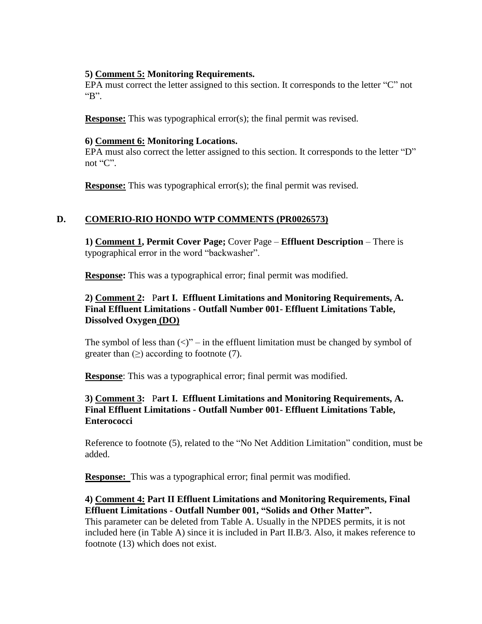### **5) Comment 5: Monitoring Requirements.**

EPA must correct the letter assigned to this section. It corresponds to the letter "C" not "B".

**Response:** This was typographical error(s); the final permit was revised.

### **6) Comment 6: Monitoring Locations.**

EPA must also correct the letter assigned to this section. It corresponds to the letter "D" not "C".

**Response:** This was typographical error(s); the final permit was revised.

# **D. COMERIO-RIO HONDO WTP COMMENTS (PR0026573)**

**1) Comment 1, Permit Cover Page;** Cover Page – **Effluent Description** – There is typographical error in the word "backwasher".

**Response:** This was a typographical error; final permit was modified.

# **2) Comment 2:** P**art I. Effluent Limitations and Monitoring Requirements, A. Final Effluent Limitations - Outfall Number 001- Effluent Limitations Table, Dissolved Oxygen (DO)**

The symbol of less than  $\langle \langle \rangle$ " – in the effluent limitation must be changed by symbol of greater than  $(\geq)$  according to footnote (7).

**Response**: This was a typographical error; final permit was modified.

## **3) Comment 3:** P**art I. Effluent Limitations and Monitoring Requirements, A. Final Effluent Limitations - Outfall Number 001- Effluent Limitations Table, Enterococci**

Reference to footnote (5), related to the "No Net Addition Limitation" condition, must be added.

**Response:** This was a typographical error; final permit was modified.

# **4) Comment 4: Part II Effluent Limitations and Monitoring Requirements, Final Effluent Limitations - Outfall Number 001, "Solids and Other Matter".**

This parameter can be deleted from Table A. Usually in the NPDES permits, it is not included here (in Table A) since it is included in Part II.B/3. Also, it makes reference to footnote (13) which does not exist.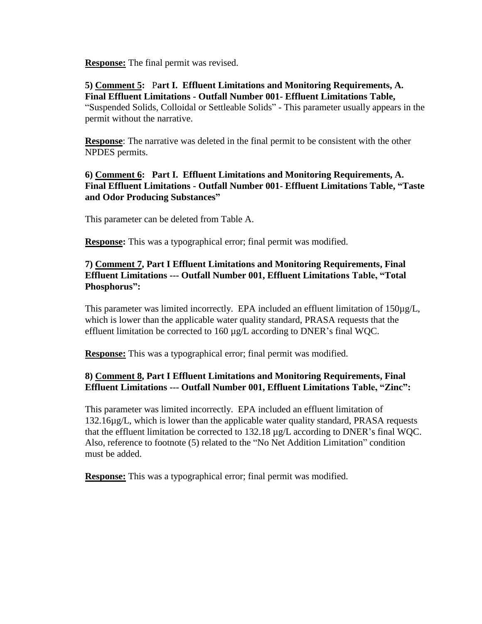**Response:** The final permit was revised.

**5) Comment 5:** P**art I. Effluent Limitations and Monitoring Requirements, A. Final Effluent Limitations - Outfall Number 001- Effluent Limitations Table,**  "Suspended Solids, Colloidal or Settleable Solids" - This parameter usually appears in the permit without the narrative.

**Response**: The narrative was deleted in the final permit to be consistent with the other NPDES permits.

### **6) Comment 6: Part I. Effluent Limitations and Monitoring Requirements, A. Final Effluent Limitations - Outfall Number 001- Effluent Limitations Table, "Taste and Odor Producing Substances"**

This parameter can be deleted from Table A.

**Response:** This was a typographical error; final permit was modified.

### **7) Comment 7, Part I Effluent Limitations and Monitoring Requirements, Final Effluent Limitations --- Outfall Number 001, Effluent Limitations Table, "Total Phosphorus":**

This parameter was limited incorrectly. EPA included an effluent limitation of  $150\mu g/L$ , which is lower than the applicable water quality standard, PRASA requests that the effluent limitation be corrected to  $160 \mu g/L$  according to DNER's final WQC.

**Response:** This was a typographical error; final permit was modified.

# **8) Comment 8, Part I Effluent Limitations and Monitoring Requirements, Final Effluent Limitations --- Outfall Number 001, Effluent Limitations Table, "Zinc":**

This parameter was limited incorrectly. EPA included an effluent limitation of 132.16µg/L, which is lower than the applicable water quality standard, PRASA requests that the effluent limitation be corrected to 132.18 µg/L according to DNER's final WQC. Also, reference to footnote (5) related to the "No Net Addition Limitation" condition must be added.

**Response:** This was a typographical error; final permit was modified.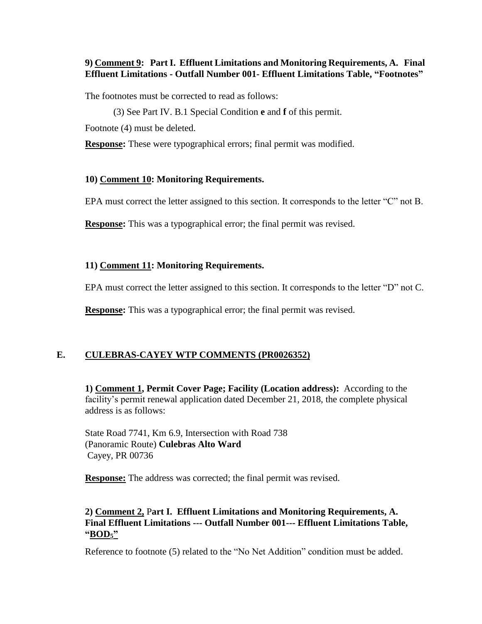#### **9) Comment 9: Part I. Effluent Limitations and Monitoring Requirements, A. Final Effluent Limitations - Outfall Number 001- Effluent Limitations Table, "Footnotes"**

The footnotes must be corrected to read as follows:

(3) See Part IV. B.1 Special Condition **e** and **f** of this permit.

Footnote (4) must be deleted.

**Response:** These were typographical errors; final permit was modified.

#### **10) Comment 10: Monitoring Requirements.**

EPA must correct the letter assigned to this section. It corresponds to the letter "C" not B.

**Response:** This was a typographical error; the final permit was revised.

#### **11) Comment 11: Monitoring Requirements.**

EPA must correct the letter assigned to this section. It corresponds to the letter "D" not C.

**Response:** This was a typographical error; the final permit was revised.

### **E. CULEBRAS-CAYEY WTP COMMENTS (PR0026352)**

**1) Comment 1, Permit Cover Page; Facility (Location address):** According to the facility's permit renewal application dated December 21, 2018, the complete physical address is as follows:

State Road 7741, Km 6.9, Intersection with Road 738 (Panoramic Route) **Culebras Alto Ward** Cayey, PR 00736

**Response:** The address was corrected; the final permit was revised.

#### **2) Comment 2,** P**art I. Effluent Limitations and Monitoring Requirements, A. Final Effluent Limitations --- Outfall Number 001--- Effluent Limitations Table, "BOD5"**

Reference to footnote (5) related to the "No Net Addition" condition must be added.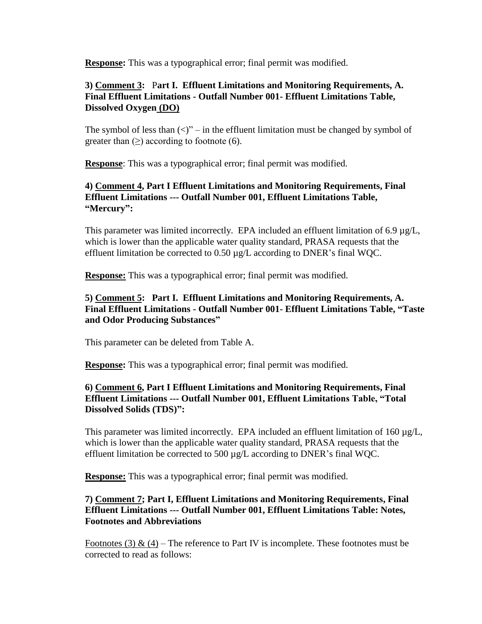**Response:** This was a typographical error; final permit was modified.

## **3) Comment 3:** P**art I. Effluent Limitations and Monitoring Requirements, A. Final Effluent Limitations - Outfall Number 001- Effluent Limitations Table, Dissolved Oxygen (DO)**

The symbol of less than  $(\langle \rangle)$ " – in the effluent limitation must be changed by symbol of greater than  $(\geq)$  according to footnote (6).

**Response**: This was a typographical error; final permit was modified.

## **4) Comment 4, Part I Effluent Limitations and Monitoring Requirements, Final Effluent Limitations --- Outfall Number 001, Effluent Limitations Table, "Mercury":**

This parameter was limited incorrectly. EPA included an effluent limitation of 6.9 µg/L, which is lower than the applicable water quality standard, PRASA requests that the effluent limitation be corrected to 0.50 µg/L according to DNER's final WQC.

**Response:** This was a typographical error; final permit was modified.

### **5) Comment 5: Part I. Effluent Limitations and Monitoring Requirements, A. Final Effluent Limitations - Outfall Number 001- Effluent Limitations Table, "Taste and Odor Producing Substances"**

This parameter can be deleted from Table A.

**Response:** This was a typographical error; final permit was modified.

### **6) Comment 6, Part I Effluent Limitations and Monitoring Requirements, Final Effluent Limitations --- Outfall Number 001, Effluent Limitations Table, "Total Dissolved Solids (TDS)":**

This parameter was limited incorrectly. EPA included an effluent limitation of  $160 \mu g/L$ , which is lower than the applicable water quality standard, PRASA requests that the effluent limitation be corrected to 500 µg/L according to DNER's final WQC.

**Response:** This was a typographical error; final permit was modified.

### **7) Comment 7; Part I, Effluent Limitations and Monitoring Requirements, Final Effluent Limitations --- Outfall Number 001, Effluent Limitations Table: Notes, Footnotes and Abbreviations**

Footnotes (3) & (4) – The reference to Part IV is incomplete. These footnotes must be corrected to read as follows: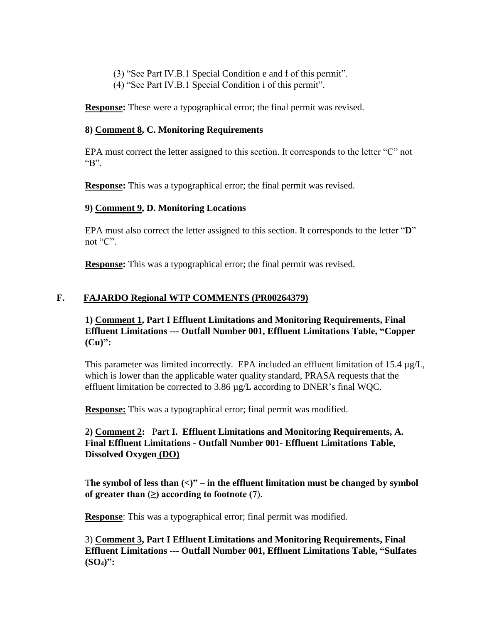- (3) "See Part IV.B.1 Special Condition e and f of this permit".
- (4) "See Part IV.B.1 Special Condition i of this permit".

**Response:** These were a typographical error; the final permit was revised.

#### **8) Comment 8, C. Monitoring Requirements**

EPA must correct the letter assigned to this section. It corresponds to the letter "C" not "B".

**Response:** This was a typographical error; the final permit was revised.

#### **9) Comment 9, D. Monitoring Locations**

EPA must also correct the letter assigned to this section. It corresponds to the letter "**D**" not "C".

**Response:** This was a typographical error; the final permit was revised.

### **F. FAJARDO Regional WTP COMMENTS (PR00264379)**

#### **1) Comment 1, Part I Effluent Limitations and Monitoring Requirements, Final Effluent Limitations --- Outfall Number 001, Effluent Limitations Table, "Copper (Cu)":**

This parameter was limited incorrectly. EPA included an effluent limitation of  $15.4 \mu g/L$ , which is lower than the applicable water quality standard, PRASA requests that the effluent limitation be corrected to 3.86 µg/L according to DNER's final WQC.

**Response:** This was a typographical error; final permit was modified.

# **2) Comment 2:** P**art I. Effluent Limitations and Monitoring Requirements, A. Final Effluent Limitations - Outfall Number 001- Effluent Limitations Table, Dissolved Oxygen (DO)**

The symbol of less than  $\langle \langle \rangle$ <sup>"</sup> – in the effluent limitation must be changed by symbol of greater than  $(\geq)$  according to footnote  $(7)$ .

**Response:** This was a typographical error; final permit was modified.

3) **Comment 3, Part I Effluent Limitations and Monitoring Requirements, Final Effluent Limitations --- Outfall Number 001, Effluent Limitations Table, "Sulfates (SO4)":**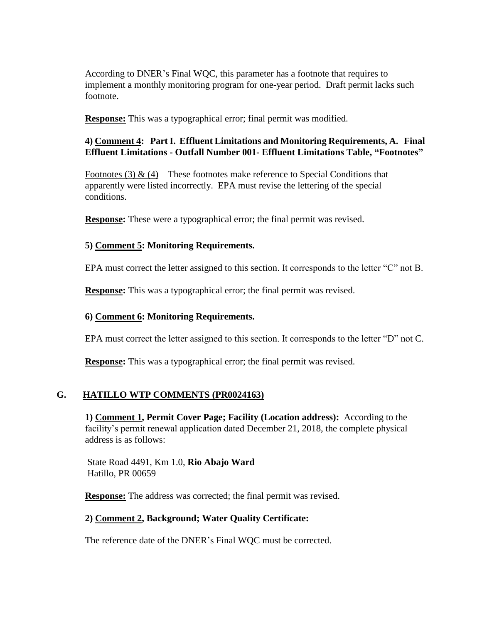According to DNER's Final WQC, this parameter has a footnote that requires to implement a monthly monitoring program for one-year period. Draft permit lacks such footnote.

**Response:** This was a typographical error; final permit was modified.

### **4) Comment 4: Part I. Effluent Limitations and Monitoring Requirements, A. Final Effluent Limitations - Outfall Number 001- Effluent Limitations Table, "Footnotes"**

Footnotes (3)  $\&$  (4) – These footnotes make reference to Special Conditions that apparently were listed incorrectly. EPA must revise the lettering of the special conditions.

**Response:** These were a typographical error; the final permit was revised.

### **5) Comment 5: Monitoring Requirements.**

EPA must correct the letter assigned to this section. It corresponds to the letter "C" not B.

**Response:** This was a typographical error; the final permit was revised.

### **6) Comment 6: Monitoring Requirements.**

EPA must correct the letter assigned to this section. It corresponds to the letter "D" not C.

**Response:** This was a typographical error; the final permit was revised.

### **G. HATILLO WTP COMMENTS (PR0024163)**

**1) Comment 1, Permit Cover Page; Facility (Location address):** According to the facility's permit renewal application dated December 21, 2018, the complete physical address is as follows:

State Road 4491, Km 1.0, **Rio Abajo Ward** Hatillo, PR 00659

**Response:** The address was corrected; the final permit was revised.

### **2) Comment 2, Background; Water Quality Certificate:**

The reference date of the DNER's Final WQC must be corrected.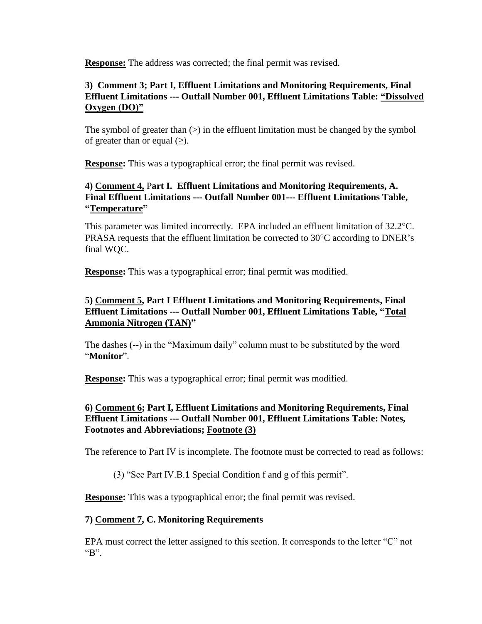**Response:** The address was corrected; the final permit was revised.

### **3) Comment 3; Part I, Effluent Limitations and Monitoring Requirements, Final Effluent Limitations --- Outfall Number 001, Effluent Limitations Table: "Dissolved Oxygen (DO)"**

The symbol of greater than  $(>)$  in the effluent limitation must be changed by the symbol of greater than or equal  $(\geq)$ .

**Response:** This was a typographical error; the final permit was revised.

# **4) Comment 4,** P**art I. Effluent Limitations and Monitoring Requirements, A. Final Effluent Limitations --- Outfall Number 001--- Effluent Limitations Table, "Temperature"**

This parameter was limited incorrectly. EPA included an effluent limitation of 32.2 °C. PRASA requests that the effluent limitation be corrected to  $30^{\circ}$ C according to DNER's final WQC.

**Response:** This was a typographical error; final permit was modified.

# **5) Comment 5, Part I Effluent Limitations and Monitoring Requirements, Final Effluent Limitations --- Outfall Number 001, Effluent Limitations Table, "Total Ammonia Nitrogen (TAN)"**

The dashes (--) in the "Maximum daily" column must to be substituted by the word "**Monitor**".

**Response:** This was a typographical error; final permit was modified.

# **6) Comment 6; Part I, Effluent Limitations and Monitoring Requirements, Final Effluent Limitations --- Outfall Number 001, Effluent Limitations Table: Notes, Footnotes and Abbreviations; Footnote (3)**

The reference to Part IV is incomplete. The footnote must be corrected to read as follows:

(3) "See Part IV.B.**1** Special Condition f and g of this permit".

**Response:** This was a typographical error; the final permit was revised.

# **7) Comment 7, C. Monitoring Requirements**

EPA must correct the letter assigned to this section. It corresponds to the letter "C" not "B".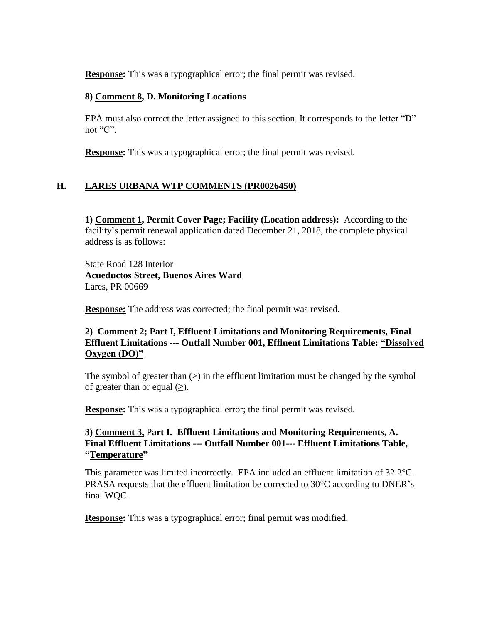**Response:** This was a typographical error; the final permit was revised.

#### **8) Comment 8, D. Monitoring Locations**

EPA must also correct the letter assigned to this section. It corresponds to the letter "**D**" not "C".

**Response:** This was a typographical error; the final permit was revised.

# **H. LARES URBANA WTP COMMENTS (PR0026450)**

**1) Comment 1, Permit Cover Page; Facility (Location address):** According to the facility's permit renewal application dated December 21, 2018, the complete physical address is as follows:

State Road 128 Interior **Acueductos Street, Buenos Aires Ward** Lares, PR 00669

**Response:** The address was corrected; the final permit was revised.

## **2) Comment 2; Part I, Effluent Limitations and Monitoring Requirements, Final Effluent Limitations --- Outfall Number 001, Effluent Limitations Table: "Dissolved Oxygen (DO)"**

The symbol of greater than  $(>)$  in the effluent limitation must be changed by the symbol of greater than or equal  $(>)$ .

**Response:** This was a typographical error; the final permit was revised.

## **3) Comment 3,** P**art I. Effluent Limitations and Monitoring Requirements, A. Final Effluent Limitations --- Outfall Number 001--- Effluent Limitations Table, "Temperature"**

This parameter was limited incorrectly. EPA included an effluent limitation of  $32.2^{\circ}$ C. PRASA requests that the effluent limitation be corrected to  $30^{\circ}$ C according to DNER's final WQC.

**Response:** This was a typographical error; final permit was modified.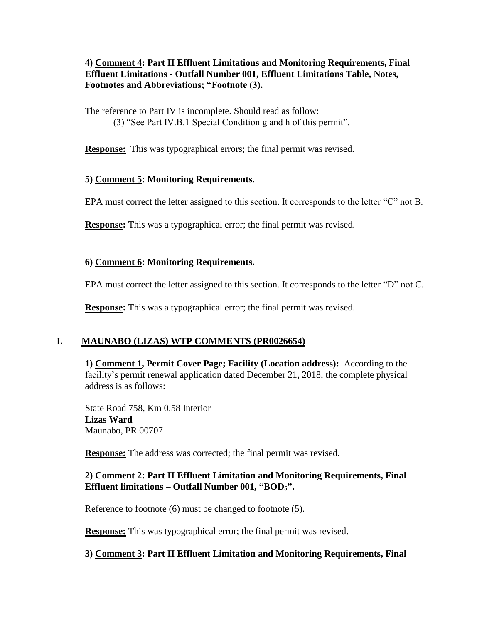### **4) Comment 4: Part II Effluent Limitations and Monitoring Requirements, Final Effluent Limitations - Outfall Number 001, Effluent Limitations Table, Notes, Footnotes and Abbreviations; "Footnote (3).**

The reference to Part IV is incomplete. Should read as follow: (3) "See Part IV.B.1 Special Condition g and h of this permit".

**Response:** This was typographical errors; the final permit was revised.

# **5) Comment 5: Monitoring Requirements.**

EPA must correct the letter assigned to this section. It corresponds to the letter "C" not B.

**Response:** This was a typographical error; the final permit was revised.

# **6) Comment 6: Monitoring Requirements.**

EPA must correct the letter assigned to this section. It corresponds to the letter "D" not C.

**Response:** This was a typographical error; the final permit was revised.

# **I. MAUNABO (LIZAS) WTP COMMENTS (PR0026654)**

**1) Comment 1, Permit Cover Page; Facility (Location address):** According to the facility's permit renewal application dated December 21, 2018, the complete physical address is as follows:

State Road 758, Km 0.58 Interior **Lizas Ward** Maunabo, PR 00707

**Response:** The address was corrected; the final permit was revised.

# **2) Comment 2: Part II Effluent Limitation and Monitoring Requirements, Final Effluent limitations – Outfall Number 001, "BOD5".**

Reference to footnote (6) must be changed to footnote (5).

**Response:** This was typographical error; the final permit was revised.

### **3) Comment 3: Part II Effluent Limitation and Monitoring Requirements, Final**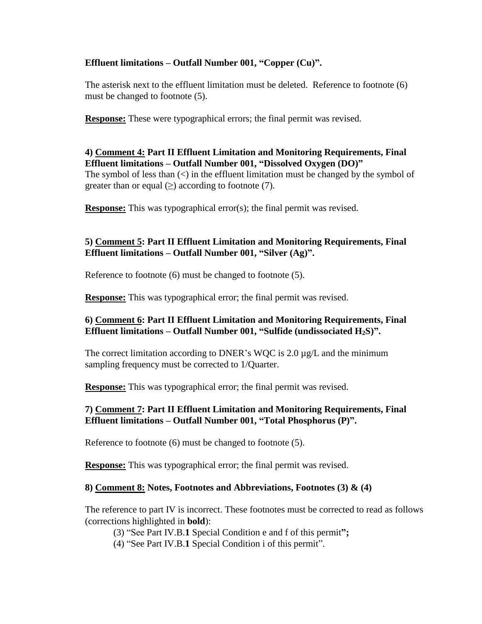### **Effluent limitations – Outfall Number 001, "Copper (Cu)".**

The asterisk next to the effluent limitation must be deleted. Reference to footnote (6) must be changed to footnote (5).

**Response:** These were typographical errors; the final permit was revised.

**4) Comment 4: Part II Effluent Limitation and Monitoring Requirements, Final Effluent limitations – Outfall Number 001, "Dissolved Oxygen (DO)"** The symbol of less than  $\langle \rangle$  in the effluent limitation must be changed by the symbol of greater than or equal  $(\geq)$  according to footnote (7).

**Response:** This was typographical error(s); the final permit was revised.

# **5) Comment 5: Part II Effluent Limitation and Monitoring Requirements, Final Effluent limitations – Outfall Number 001, "Silver (Ag)".**

Reference to footnote (6) must be changed to footnote (5).

**Response:** This was typographical error; the final permit was revised.

# **6) Comment 6: Part II Effluent Limitation and Monitoring Requirements, Final Effluent limitations – Outfall Number 001, "Sulfide (undissociated H2S)".**

The correct limitation according to DNER's WQC is  $2.0 \mu g/L$  and the minimum sampling frequency must be corrected to 1/Quarter.

**Response:** This was typographical error; the final permit was revised.

# **7) Comment 7: Part II Effluent Limitation and Monitoring Requirements, Final Effluent limitations – Outfall Number 001, "Total Phosphorus (P)".**

Reference to footnote (6) must be changed to footnote (5).

**Response:** This was typographical error; the final permit was revised.

### **8) Comment 8: Notes, Footnotes and Abbreviations, Footnotes (3) & (4)**

The reference to part IV is incorrect. These footnotes must be corrected to read as follows (corrections highlighted in **bold**):

(3) "See Part IV.B.**1** Special Condition e and f of this permit**";**

(4) "See Part IV.B.**1** Special Condition i of this permit".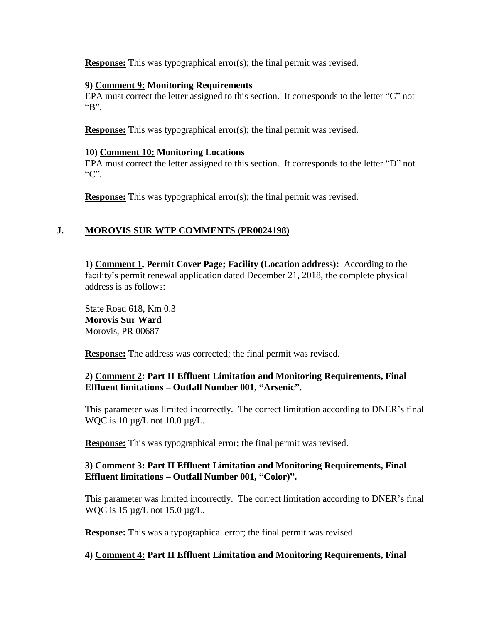**Response:** This was typographical error(s); the final permit was revised.

#### **9) Comment 9: Monitoring Requirements**

EPA must correct the letter assigned to this section. It corresponds to the letter "C" not "B".

**Response:** This was typographical error(s); the final permit was revised.

#### **10) Comment 10: Monitoring Locations**

EPA must correct the letter assigned to this section. It corresponds to the letter "D" not "C".

**Response:** This was typographical error(s); the final permit was revised.

# **J. MOROVIS SUR WTP COMMENTS (PR0024198)**

**1) Comment 1, Permit Cover Page; Facility (Location address):** According to the facility's permit renewal application dated December 21, 2018, the complete physical address is as follows:

State Road 618, Km 0.3 **Morovis Sur Ward** Morovis, PR 00687

**Response:** The address was corrected; the final permit was revised.

### **2) Comment 2: Part II Effluent Limitation and Monitoring Requirements, Final Effluent limitations – Outfall Number 001, "Arsenic".**

This parameter was limited incorrectly. The correct limitation according to DNER's final WQC is  $10 \mu g/L$  not  $10.0 \mu g/L$ .

**Response:** This was typographical error; the final permit was revised.

### **3) Comment 3: Part II Effluent Limitation and Monitoring Requirements, Final Effluent limitations – Outfall Number 001, "Color)".**

This parameter was limited incorrectly. The correct limitation according to DNER's final WQC is  $15 \mu g/L$  not  $15.0 \mu g/L$ .

**Response:** This was a typographical error; the final permit was revised.

### **4) Comment 4: Part II Effluent Limitation and Monitoring Requirements, Final**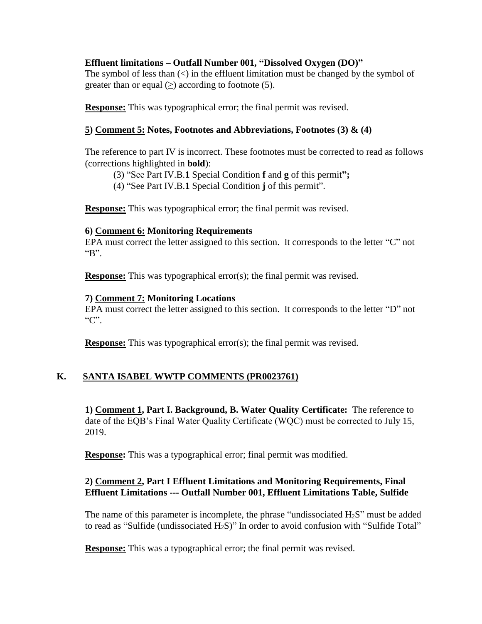### **Effluent limitations – Outfall Number 001, "Dissolved Oxygen (DO)"**

The symbol of less than  $\langle \rangle$  in the effluent limitation must be changed by the symbol of greater than or equal  $(\geq)$  according to footnote (5).

**Response:** This was typographical error; the final permit was revised.

# **5) Comment 5: Notes, Footnotes and Abbreviations, Footnotes (3) & (4)**

The reference to part IV is incorrect. These footnotes must be corrected to read as follows (corrections highlighted in **bold**):

(3) "See Part IV.B.**1** Special Condition **f** and **g** of this permit**";**

(4) "See Part IV.B.**1** Special Condition **j** of this permit".

**Response:** This was typographical error; the final permit was revised.

### **6) Comment 6: Monitoring Requirements**

EPA must correct the letter assigned to this section. It corresponds to the letter "C" not "B".

**Response:** This was typographical error(s); the final permit was revised.

# **7) Comment 7: Monitoring Locations**

EPA must correct the letter assigned to this section. It corresponds to the letter "D" not "C".

**Response:** This was typographical error(s); the final permit was revised.

# **K. SANTA ISABEL WWTP COMMENTS (PR0023761)**

**1) Comment 1, Part I. Background, B. Water Quality Certificate:** The reference to date of the EQB's Final Water Quality Certificate (WQC) must be corrected to July 15, 2019.

**Response:** This was a typographical error; final permit was modified.

# **2) Comment 2, Part I Effluent Limitations and Monitoring Requirements, Final Effluent Limitations --- Outfall Number 001, Effluent Limitations Table, Sulfide**

The name of this parameter is incomplete, the phrase "undissociated  $H_2S$ " must be added to read as "Sulfide (undissociated H2S)" In order to avoid confusion with "Sulfide Total"

**Response:** This was a typographical error; the final permit was revised.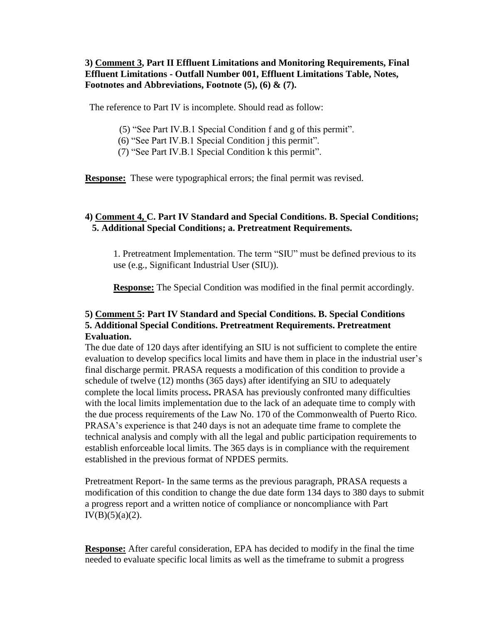### **3) Comment 3, Part II Effluent Limitations and Monitoring Requirements, Final Effluent Limitations - Outfall Number 001, Effluent Limitations Table, Notes, Footnotes and Abbreviations, Footnote (5), (6) & (7).**

The reference to Part IV is incomplete. Should read as follow:

- (5) "See Part IV.B.1 Special Condition f and g of this permit".
- (6) "See Part IV.B.1 Special Condition j this permit".
- (7) "See Part IV.B.1 Special Condition k this permit".

**Response:** These were typographical errors; the final permit was revised.

### **4) Comment 4, C. Part IV Standard and Special Conditions. B. Special Conditions; 5. Additional Special Conditions; a. Pretreatment Requirements.**

1. Pretreatment Implementation. The term "SIU" must be defined previous to its use (e.g., Significant Industrial User (SIU)).

**Response:** The Special Condition was modified in the final permit accordingly.

### **5) Comment 5: Part IV Standard and Special Conditions. B. Special Conditions 5. Additional Special Conditions. Pretreatment Requirements. Pretreatment Evaluation.**

The due date of 120 days after identifying an SIU is not sufficient to complete the entire evaluation to develop specifics local limits and have them in place in the industrial user's final discharge permit. PRASA requests a modification of this condition to provide a schedule of twelve (12) months (365 days) after identifying an SIU to adequately complete the local limits process**.** PRASA has previously confronted many difficulties with the local limits implementation due to the lack of an adequate time to comply with the due process requirements of the Law No. 170 of the Commonwealth of Puerto Rico. PRASA's experience is that 240 days is not an adequate time frame to complete the technical analysis and comply with all the legal and public participation requirements to establish enforceable local limits. The 365 days is in compliance with the requirement established in the previous format of NPDES permits.

Pretreatment Report- In the same terms as the previous paragraph, PRASA requests a modification of this condition to change the due date form 134 days to 380 days to submit a progress report and a written notice of compliance or noncompliance with Part  $IV(B)(5)(a)(2)$ .

**Response:** After careful consideration, EPA has decided to modify in the final the time needed to evaluate specific local limits as well as the timeframe to submit a progress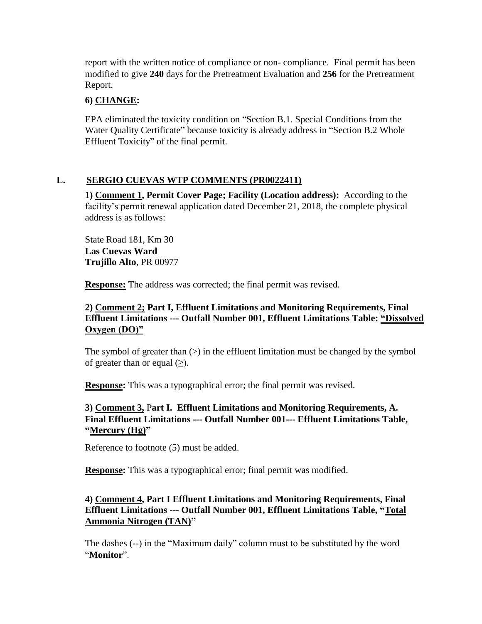report with the written notice of compliance or non- compliance. Final permit has been modified to give **240** days for the Pretreatment Evaluation and **256** for the Pretreatment Report.

### **6) CHANGE:**

EPA eliminated the toxicity condition on "Section B.1. Special Conditions from the Water Quality Certificate" because toxicity is already address in "Section B.2 Whole Effluent Toxicity" of the final permit.

# **L. SERGIO CUEVAS WTP COMMENTS (PR0022411)**

**1) Comment 1, Permit Cover Page; Facility (Location address):** According to the facility's permit renewal application dated December 21, 2018, the complete physical address is as follows:

State Road 181, Km 30 **Las Cuevas Ward Trujillo Alto**, PR 00977

**Response:** The address was corrected; the final permit was revised.

# **2) Comment 2; Part I, Effluent Limitations and Monitoring Requirements, Final Effluent Limitations --- Outfall Number 001, Effluent Limitations Table: "Dissolved Oxygen (DO)"**

The symbol of greater than  $(>)$  in the effluent limitation must be changed by the symbol of greater than or equal  $(\geq)$ .

**Response:** This was a typographical error; the final permit was revised.

# **3) Comment 3,** P**art I. Effluent Limitations and Monitoring Requirements, A. Final Effluent Limitations --- Outfall Number 001--- Effluent Limitations Table, "Mercury (Hg)"**

Reference to footnote (5) must be added.

**Response:** This was a typographical error; final permit was modified.

## **4) Comment 4, Part I Effluent Limitations and Monitoring Requirements, Final Effluent Limitations --- Outfall Number 001, Effluent Limitations Table, "Total Ammonia Nitrogen (TAN)"**

The dashes (--) in the "Maximum daily" column must to be substituted by the word "**Monitor**".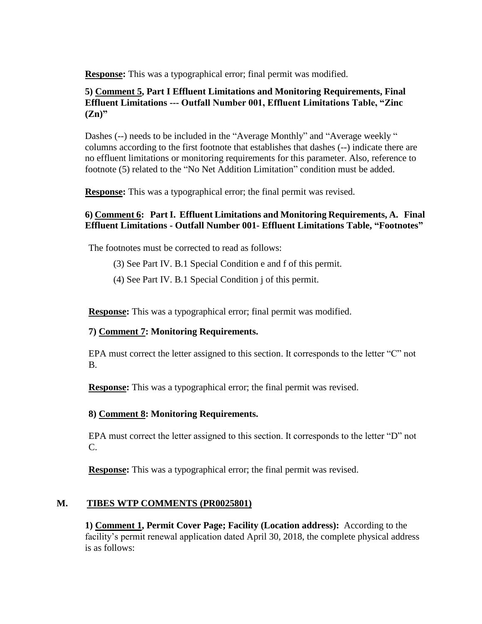**Response:** This was a typographical error; final permit was modified.

### **5) Comment 5, Part I Effluent Limitations and Monitoring Requirements, Final Effluent Limitations --- Outfall Number 001, Effluent Limitations Table, "Zinc (Zn)"**

Dashes (--) needs to be included in the "Average Monthly" and "Average weekly " columns according to the first footnote that establishes that dashes (--) indicate there are no effluent limitations or monitoring requirements for this parameter. Also, reference to footnote (5) related to the "No Net Addition Limitation" condition must be added.

**Response:** This was a typographical error; the final permit was revised.

### **6) Comment 6: Part I. Effluent Limitations and Monitoring Requirements, A. Final Effluent Limitations - Outfall Number 001- Effluent Limitations Table, "Footnotes"**

The footnotes must be corrected to read as follows:

(3) See Part IV. B.1 Special Condition e and f of this permit.

(4) See Part IV. B.1 Special Condition j of this permit.

**Response:** This was a typographical error; final permit was modified.

### **7) Comment 7: Monitoring Requirements.**

EPA must correct the letter assigned to this section. It corresponds to the letter "C" not B.

**Response:** This was a typographical error; the final permit was revised.

### **8) Comment 8: Monitoring Requirements.**

EPA must correct the letter assigned to this section. It corresponds to the letter "D" not C.

**Response:** This was a typographical error; the final permit was revised.

### **M. TIBES WTP COMMENTS (PR0025801)**

**1) Comment 1, Permit Cover Page; Facility (Location address):** According to the facility's permit renewal application dated April 30, 2018, the complete physical address is as follows: